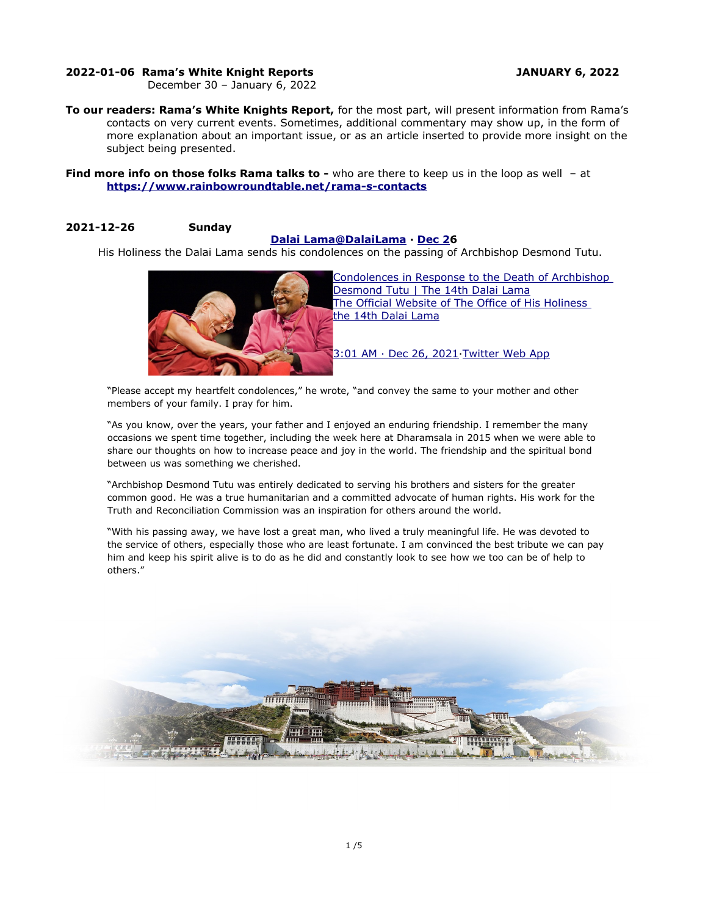## **2022-01-06 Rama's White Knight Reports JANUARY 6, 2022**

December 30 – January 6, 2022

**To our readers: Rama's White Knights Report,** for the most part, will present information from Rama's contacts on very current events. Sometimes, additional commentary may show up, in the form of more explanation about an important issue, or as an article inserted to provide more insight on the subject being presented.

**Find more info on those folks Rama talks to -** who are there to keep us in the loop as well - at **<https://www.rainbowroundtable.net/rama-s-contacts>**

## **2021-12-26 Sunday**

## **[Dalai](https://twitter.com/DalaiLama) [Lama@DalaiLama](mailto:Lama@DalaiLama) · [Dec 2](https://twitter.com/DalaiLama/status/1474311607920381957)6**

His Holiness the Dalai Lama sends his condolences on the passing of Archbishop Desmond Tutu.



[Condolences in Response to the Death of Archbishop](https://t.co/njLb7BY3Ky)  [Desmond Tutu | The 14th Dalai Lama](https://t.co/njLb7BY3Ky) [The Official Website of The Office of His Holiness](https://t.co/njLb7BY3Ky)  [the 14th Dalai Lama](https://t.co/njLb7BY3Ky)

[3:01 AM · Dec 26, 2021](https://twitter.com/DalaiLama/status/1475044107676368896)[·Twitter Web App](https://help.twitter.com/using-twitter/how-to-tweet#source-labels)

"Please accept my heartfelt condolences," he wrote, "and convey the same to your mother and other members of your family. I pray for him.

"As you know, over the years, your father and I enjoyed an enduring friendship. I remember the many occasions we spent time together, including the week here at Dharamsala in 2015 when we were able to share our thoughts on how to increase peace and joy in the world. The friendship and the spiritual bond between us was something we cherished.

"Archbishop Desmond Tutu was entirely dedicated to serving his brothers and sisters for the greater common good. He was a true humanitarian and a committed advocate of human rights. His work for the Truth and Reconciliation Commission was an inspiration for others around the world.

"With his passing away, we have lost a great man, who lived a truly meaningful life. He was devoted to the service of others, especially those who are least fortunate. I am convinced the best tribute we can pay him and keep his spirit alive is to do as he did and constantly look to see how we too can be of help to others."

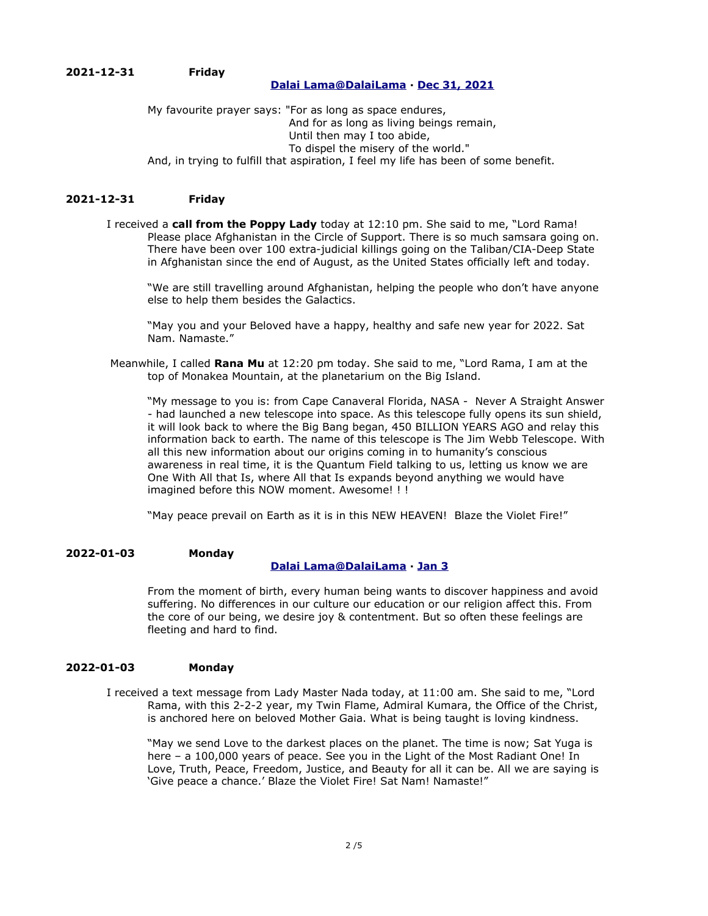## **[Dalai](https://twitter.com/DalaiLama) [Lama @ DalaiLama](mailto:Lama@DalaiLama) · [Dec 31, 2021](https://twitter.com/DalaiLama/status/1476850096268464128)**

My favourite prayer says: "For as long as space endures, And for as long as living beings remain, Until then may I too abide, To dispel the misery of the world." And, in trying to fulfill that aspiration, I feel my life has been of some benefit.

## **2021-12-31 Friday**

I received a **call from the Poppy Lady** today at 12:10 pm. She said to me, "Lord Rama! Please place Afghanistan in the Circle of Support. There is so much samsara going on. There have been over 100 extra-judicial killings going on the Taliban/CIA-Deep State in Afghanistan since the end of August, as the United States officially left and today.

"We are still travelling around Afghanistan, helping the people who don't have anyone else to help them besides the Galactics.

"May you and your Beloved have a happy, healthy and safe new year for 2022. Sat Nam. Namaste."

 Meanwhile, I called **Rana Mu** at 12:20 pm today. She said to me, "Lord Rama, I am at the top of Monakea Mountain, at the planetarium on the Big Island.

"My message to you is: from Cape Canaveral Florida, NASA - Never A Straight Answer - had launched a new telescope into space. As this telescope fully opens its sun shield, it will look back to where the Big Bang began, 450 BILLION YEARS AGO and relay this information back to earth. The name of this telescope is The Jim Webb Telescope. With all this new information about our origins coming in to humanity's conscious awareness in real time, it is the Quantum Field talking to us, letting us know we are One With All that Is, where All that Is expands beyond anything we would have imagined before this NOW moment. Awesome! ! !

"May peace prevail on Earth as it is in this NEW HEAVEN! Blaze the Violet Fire!"

#### **2022-01-03 Monday  [Dalai](https://twitter.com/DalaiLama) [Lama @DalaiLama](mailto:Lama@DalaiLama) · [Jan 3](https://twitter.com/DalaiLama/status/1477935387095887872)**

From the moment of birth, every human being wants to discover happiness and avoid suffering. No differences in our culture our education or our religion affect this. From the core of our being, we desire joy & contentment. But so often these feelings are fleeting and hard to find.

### **2022-01-03 Monday**

I received a text message from Lady Master Nada today, at 11:00 am. She said to me, "Lord Rama, with this 2-2-2 year, my Twin Flame, Admiral Kumara, the Office of the Christ, is anchored here on beloved Mother Gaia. What is being taught is loving kindness.

"May we send Love to the darkest places on the planet. The time is now; Sat Yuga is here – a 100,000 years of peace. See you in the Light of the Most Radiant One! In Love, Truth, Peace, Freedom, Justice, and Beauty for all it can be. All we are saying is 'Give peace a chance.' Blaze the Violet Fire! Sat Nam! Namaste!"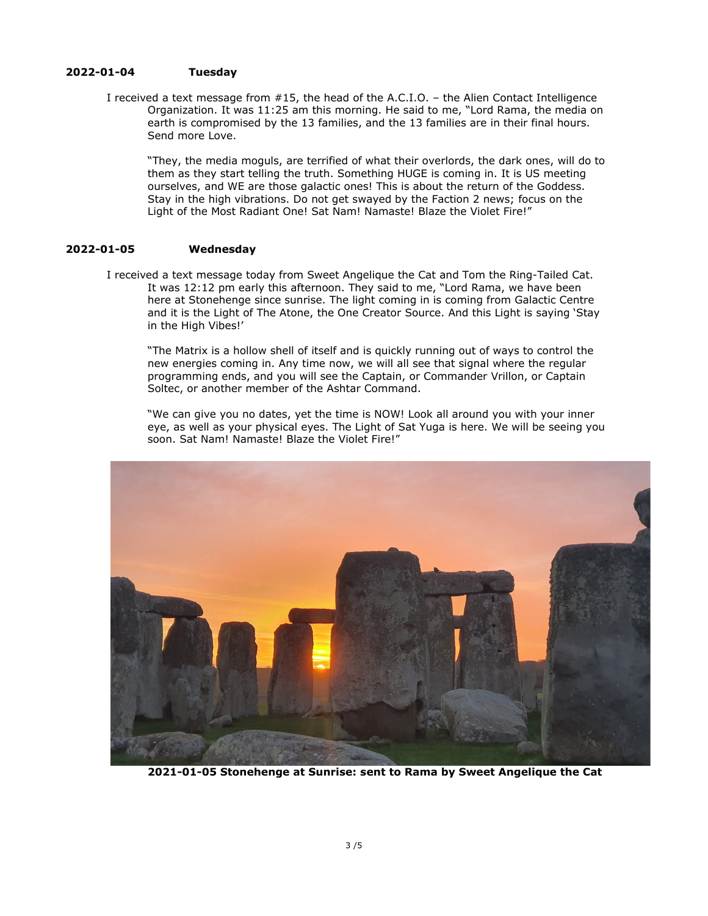### **2022-01-04 Tuesday**

I received a text message from #15, the head of the A.C.I.O. – the Alien Contact Intelligence Organization. It was 11:25 am this morning. He said to me, "Lord Rama, the media on earth is compromised by the 13 families, and the 13 families are in their final hours. Send more Love.

"They, the media moguls, are terrified of what their overlords, the dark ones, will do to them as they start telling the truth. Something HUGE is coming in. It is US meeting ourselves, and WE are those galactic ones! This is about the return of the Goddess. Stay in the high vibrations. Do not get swayed by the Faction 2 news; focus on the Light of the Most Radiant One! Sat Nam! Namaste! Blaze the Violet Fire!"

## **2022-01-05 Wednesday**

I received a text message today from Sweet Angelique the Cat and Tom the Ring-Tailed Cat. It was 12:12 pm early this afternoon. They said to me, "Lord Rama, we have been here at Stonehenge since sunrise. The light coming in is coming from Galactic Centre and it is the Light of The Atone, the One Creator Source. And this Light is saying 'Stay in the High Vibes!'

"The Matrix is a hollow shell of itself and is quickly running out of ways to control the new energies coming in. Any time now, we will all see that signal where the regular programming ends, and you will see the Captain, or Commander Vrillon, or Captain Soltec, or another member of the Ashtar Command.

"We can give you no dates, yet the time is NOW! Look all around you with your inner eye, as well as your physical eyes. The Light of Sat Yuga is here. We will be seeing you soon. Sat Nam! Namaste! Blaze the Violet Fire!"



**2021-01-05 Stonehenge at Sunrise: sent to Rama by Sweet Angelique the Cat**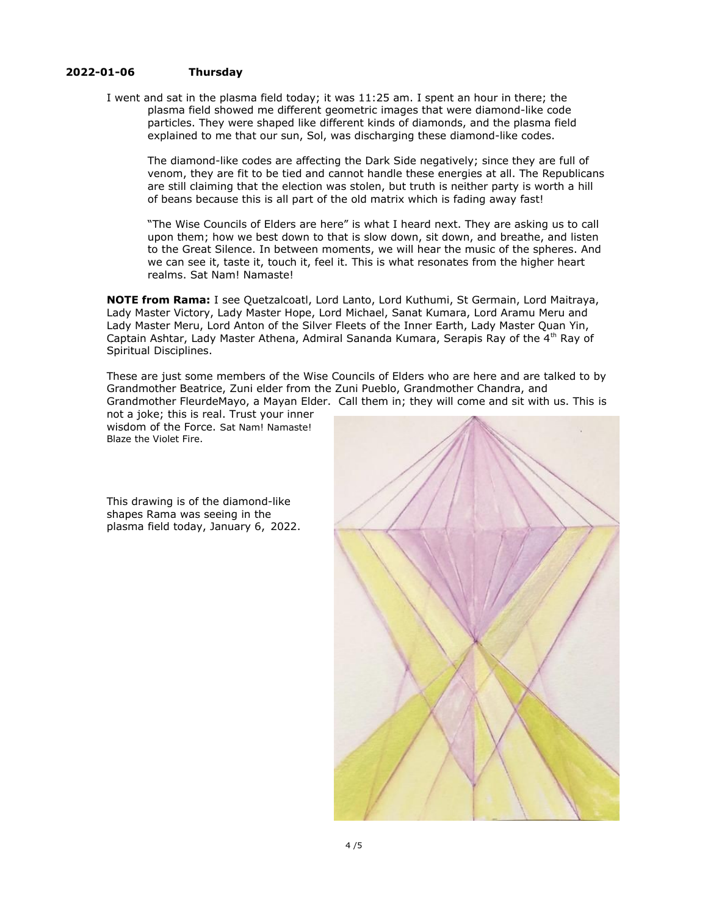## **2022-01-06 Thursday**

I went and sat in the plasma field today; it was 11:25 am. I spent an hour in there; the plasma field showed me different geometric images that were diamond-like code particles. They were shaped like different kinds of diamonds, and the plasma field explained to me that our sun, Sol, was discharging these diamond-like codes.

The diamond-like codes are affecting the Dark Side negatively; since they are full of venom, they are fit to be tied and cannot handle these energies at all. The Republicans are still claiming that the election was stolen, but truth is neither party is worth a hill of beans because this is all part of the old matrix which is fading away fast!

"The Wise Councils of Elders are here" is what I heard next. They are asking us to call upon them; how we best down to that is slow down, sit down, and breathe, and listen to the Great Silence. In between moments, we will hear the music of the spheres. And we can see it, taste it, touch it, feel it. This is what resonates from the higher heart realms. Sat Nam! Namaste!

**NOTE from Rama:** I see Quetzalcoatl, Lord Lanto, Lord Kuthumi, St Germain, Lord Maitraya, Lady Master Victory, Lady Master Hope, Lord Michael, Sanat Kumara, Lord Aramu Meru and Lady Master Meru, Lord Anton of the Silver Fleets of the Inner Earth, Lady Master Quan Yin, Captain Ashtar, Lady Master Athena, Admiral Sananda Kumara, Serapis Ray of the 4<sup>th</sup> Ray of Spiritual Disciplines.

These are just some members of the Wise Councils of Elders who are here and are talked to by Grandmother Beatrice, Zuni elder from the Zuni Pueblo, Grandmother Chandra, and Grandmother FleurdeMayo, a Mayan Elder. Call them in; they will come and sit with us. This is

not a joke; this is real. Trust your inner wisdom of the Force. Sat Nam! Namaste! Blaze the Violet Fire.

This drawing is of the diamond-like shapes Rama was seeing in the plasma field today, January 6, 2022.